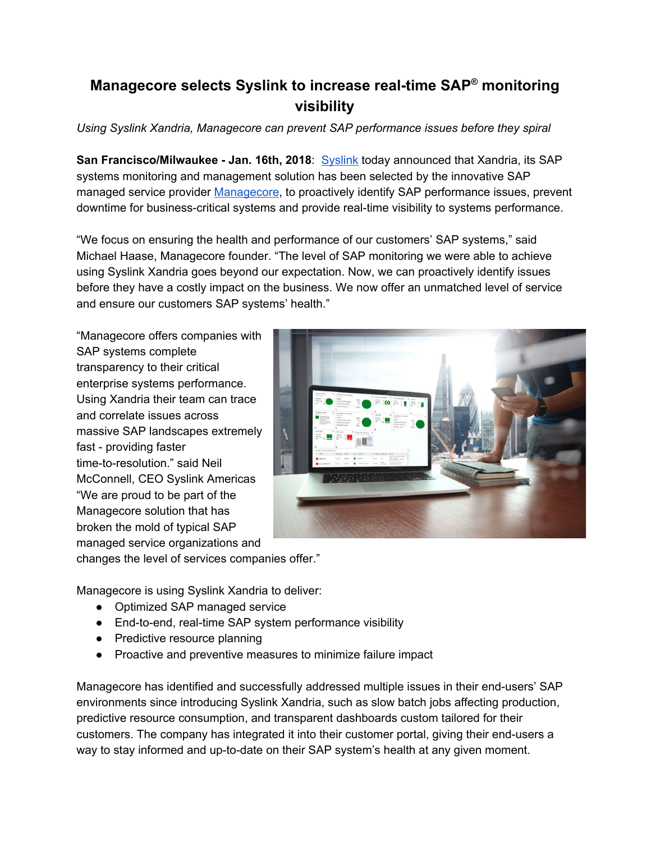## **Managecore selects Syslink to increase real-time SAP ® monitoring visibility**

*Using Syslink Xandria, Managecore can prevent SAP performance issues before they spiral*

**San Francisco/Milwaukee - Jan. 16th, 2018**: [Syslink](https://www.syslinkams.com/?utm_source=Press%20release) today announced that Xandria, its SAP systems monitoring and management solution has been selected by the innovative SAP managed service provider [Managecore](https://managecore.com/), to proactively identify SAP performance issues, prevent downtime for business-critical systems and provide real-time visibility to systems performance.

"We focus on ensuring the health and performance of our customers' SAP systems," said Michael Haase, Managecore founder. "The level of SAP monitoring we were able to achieve using Syslink Xandria goes beyond our expectation. Now, we can proactively identify issues before they have a costly impact on the business. We now offer an unmatched level of service and ensure our customers SAP systems' health."

"Managecore offers companies with SAP systems complete transparency to their critical enterprise systems performance. Using Xandria their team can trace and correlate issues across massive SAP landscapes extremely fast - providing faster time-to-resolution." said Neil McConnell, CEO Syslink Americas "We are proud to be part of the Managecore solution that has broken the mold of typical SAP managed service organizations and changes the level of services companies offer."



- Managecore is using Syslink Xandria to deliver:
	- Optimized SAP managed service
	- End-to-end, real-time SAP system performance visibility
	- Predictive resource planning
	- Proactive and preventive measures to minimize failure impact

Managecore has identified and successfully addressed multiple issues in their end-users' SAP environments since introducing Syslink Xandria, such as slow batch jobs affecting production, predictive resource consumption, and transparent dashboards custom tailored for their customers. The company has integrated it into their customer portal, giving their end-users a way to stay informed and up-to-date on their SAP system's health at any given moment.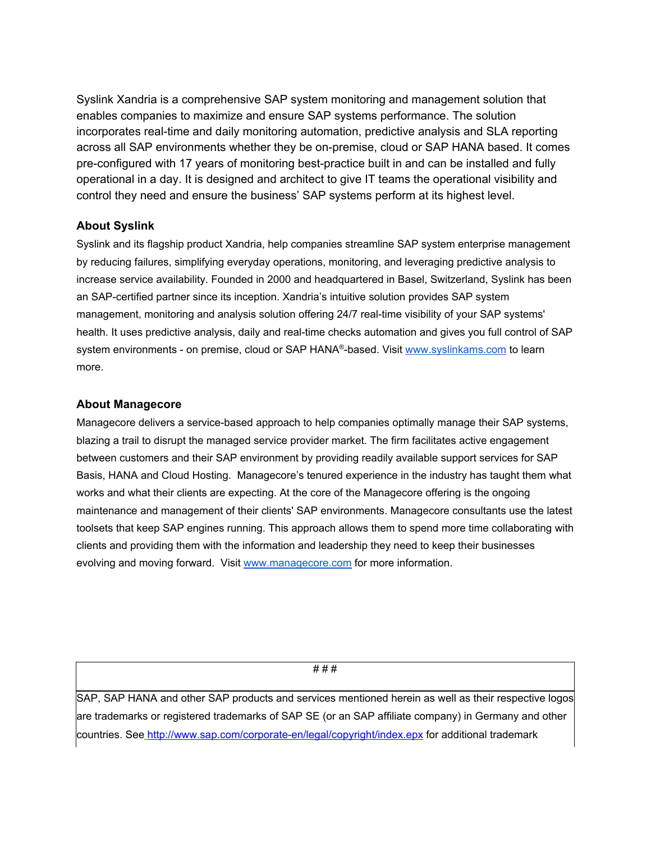Syslink Xandria is a comprehensive SAP system monitoring and management solution that enables companies to maximize and ensure SAP systems performance. The solution incorporates real-time and daily monitoring automation, predictive analysis and SLA reporting across all SAP environments whether they be on-premise, cloud or SAP HANA based. It comes pre-configured with 17 years of monitoring best-practice built in and can be installed and fully operational in a day. It is designed and architect to give IT teams the operational visibility and control they need and ensure the business' SAP systems perform at its highest level.

## **About Syslink**

Syslink and its flagship product Xandria, help companies streamline SAP system enterprise management by reducing failures, simplifying everyday operations, monitoring, and leveraging predictive analysis to increase service availability. Founded in 2000 and headquartered in Basel, Switzerland, Syslink has been an SAP-certified partner since its inception. Xandria's intuitive solution provides SAP system management, monitoring and analysis solution offering 24/7 real-time visibility of your SAP systems' health. It uses predictive analysis, daily and real-time checks automation and gives you full control of SAP system environments - on premise, cloud or SAP HANA®-based. Visit [www.syslinkams.com](https://www.syslinkams.com/) to learn more.

## **About Managecore**

Managecore delivers a service-based approach to help companies optimally manage their SAP systems, blazing a trail to disrupt the managed service provider market. The firm facilitates active engagement between customers and their SAP environment by providing readily available support services for SAP Basis, HANA and Cloud Hosting. Managecore's tenured experience in the industry has taught them what works and what their clients are expecting. At the core of the Managecore offering is the ongoing maintenance and management of their clients' SAP environments. Managecore consultants use the latest toolsets that keep SAP engines running. This approach allows them to spend more time collaborating with clients and providing them with the information and leadership they need to keep their businesses evolving and moving forward. Visit [www.managecore.com](http://www.managecore.com/) for more information.

# # #

SAP, SAP HANA and other SAP products and services mentioned herein as well as their respective logos are trademarks or registered trademarks of SAP SE (or an SAP affiliate company) in Germany and other countries. See <http://www.sap.com/corporate-en/legal/copyright/index.epx> for additional trademark